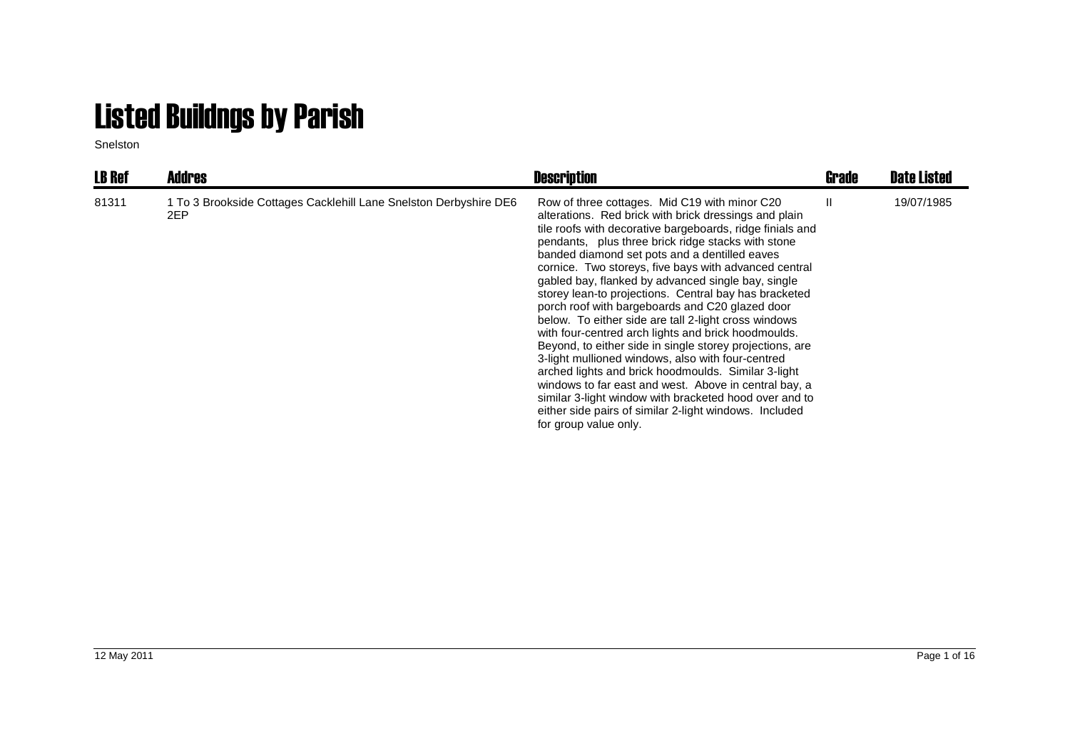## Listed Buildngs by Parish

Snelston

| <b>LB Ref</b> | <b>Addres</b>                                                            | <b>Description</b>                                                                                                                                                                                                                                                                                                                                                                                                                                                                                                                                                                                                                                                                                                                                                                                                                                                                                                                                                                                 | Grade | <b>Date Listed</b> |
|---------------|--------------------------------------------------------------------------|----------------------------------------------------------------------------------------------------------------------------------------------------------------------------------------------------------------------------------------------------------------------------------------------------------------------------------------------------------------------------------------------------------------------------------------------------------------------------------------------------------------------------------------------------------------------------------------------------------------------------------------------------------------------------------------------------------------------------------------------------------------------------------------------------------------------------------------------------------------------------------------------------------------------------------------------------------------------------------------------------|-------|--------------------|
| 81311         | 1 To 3 Brookside Cottages Cacklehill Lane Snelston Derbyshire DE6<br>2EP | Row of three cottages. Mid C19 with minor C20<br>alterations. Red brick with brick dressings and plain<br>tile roofs with decorative bargeboards, ridge finials and<br>pendants, plus three brick ridge stacks with stone<br>banded diamond set pots and a dentilled eaves<br>cornice. Two storeys, five bays with advanced central<br>gabled bay, flanked by advanced single bay, single<br>storey lean-to projections. Central bay has bracketed<br>porch roof with bargeboards and C20 glazed door<br>below. To either side are tall 2-light cross windows<br>with four-centred arch lights and brick hoodmoulds.<br>Beyond, to either side in single storey projections, are<br>3-light mullioned windows, also with four-centred<br>arched lights and brick hoodmoulds. Similar 3-light<br>windows to far east and west. Above in central bay, a<br>similar 3-light window with bracketed hood over and to<br>either side pairs of similar 2-light windows. Included<br>for group value only. | Ш     | 19/07/1985         |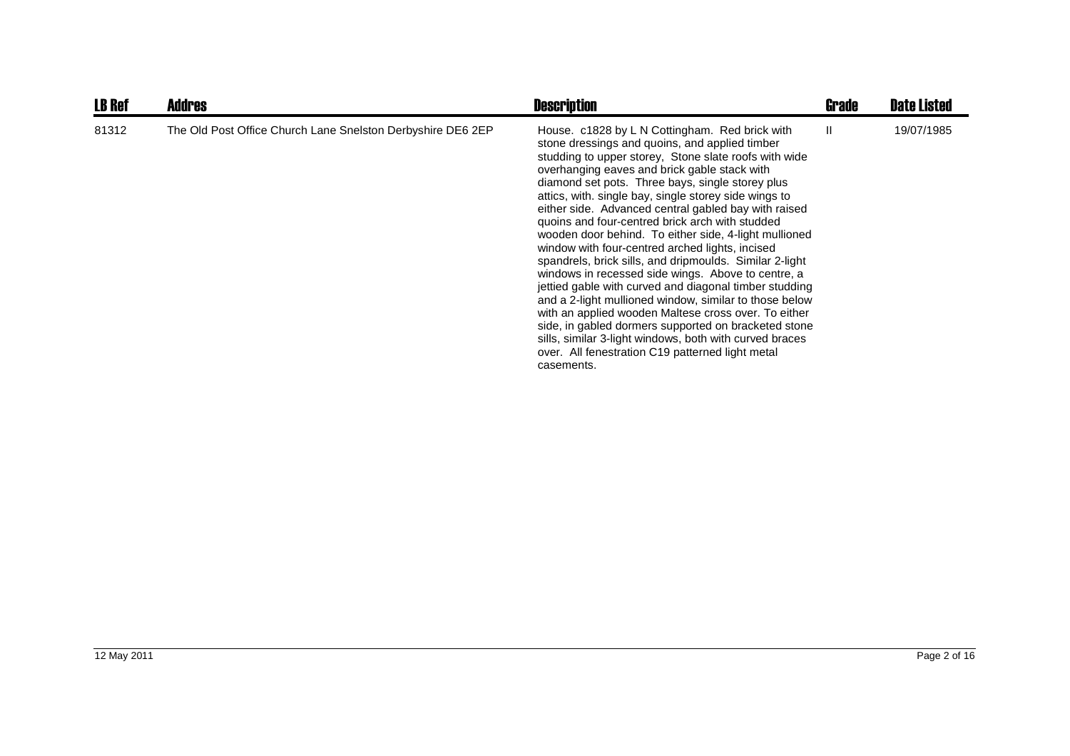| <b>LB Ref</b> | <b>Addres</b>                                               | <b>Description</b>                                                                                                                                                                                                                                                                                                                                                                                                                                                                                                                                                                                                                                                                                                                                                                                                                                                                                                                                                                                                              | Grade | <b>Date Listed</b> |
|---------------|-------------------------------------------------------------|---------------------------------------------------------------------------------------------------------------------------------------------------------------------------------------------------------------------------------------------------------------------------------------------------------------------------------------------------------------------------------------------------------------------------------------------------------------------------------------------------------------------------------------------------------------------------------------------------------------------------------------------------------------------------------------------------------------------------------------------------------------------------------------------------------------------------------------------------------------------------------------------------------------------------------------------------------------------------------------------------------------------------------|-------|--------------------|
| 81312         | The Old Post Office Church Lane Snelston Derbyshire DE6 2EP | House. c1828 by L N Cottingham. Red brick with<br>stone dressings and quoins, and applied timber<br>studding to upper storey, Stone slate roofs with wide<br>overhanging eaves and brick gable stack with<br>diamond set pots. Three bays, single storey plus<br>attics, with. single bay, single storey side wings to<br>either side. Advanced central gabled bay with raised<br>quoins and four-centred brick arch with studded<br>wooden door behind. To either side, 4-light mullioned<br>window with four-centred arched lights, incised<br>spandrels, brick sills, and dripmoulds. Similar 2-light<br>windows in recessed side wings. Above to centre, a<br>jettied gable with curved and diagonal timber studding<br>and a 2-light mullioned window, similar to those below<br>with an applied wooden Maltese cross over. To either<br>side, in gabled dormers supported on bracketed stone<br>sills, similar 3-light windows, both with curved braces<br>over. All fenestration C19 patterned light metal<br>casements. | H.    | 19/07/1985         |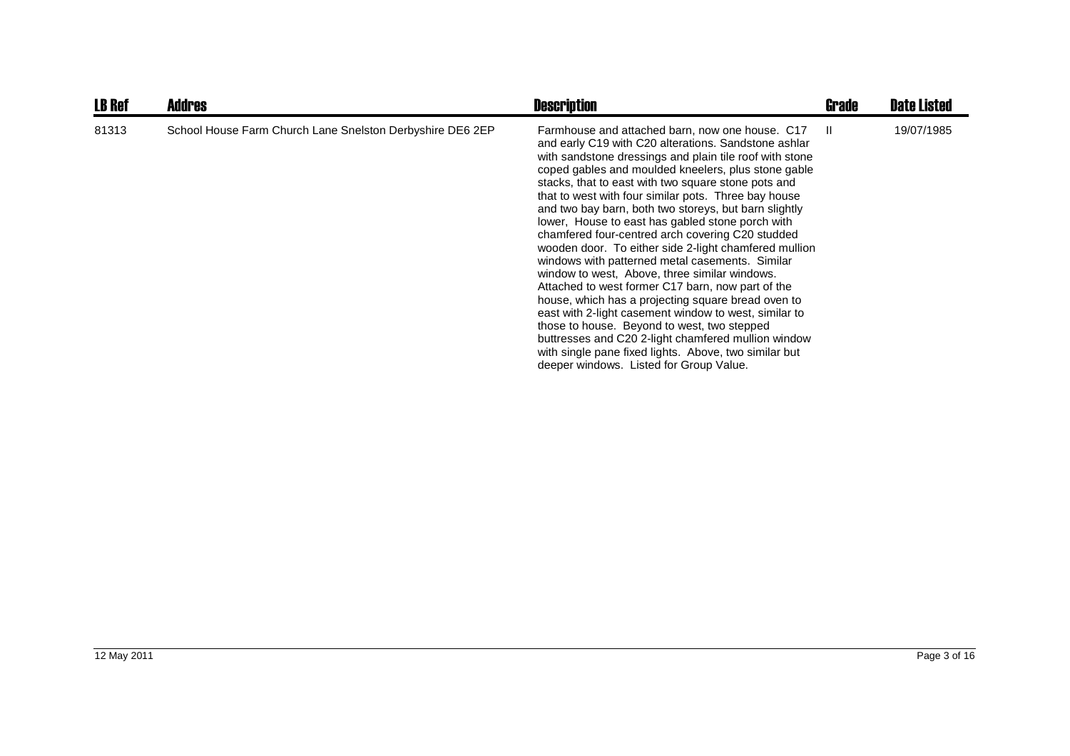| <b>LB Ref</b> | <b>Addres</b>                                             | <b>Description</b>                                                                                                                                                                                                                                                                                                                                                                                                                                                                                                                                                                                                                                                                                                                                                                                                                                                                                                                                                                                                                                      | <b>Grade</b> | <b>Date Listed</b> |
|---------------|-----------------------------------------------------------|---------------------------------------------------------------------------------------------------------------------------------------------------------------------------------------------------------------------------------------------------------------------------------------------------------------------------------------------------------------------------------------------------------------------------------------------------------------------------------------------------------------------------------------------------------------------------------------------------------------------------------------------------------------------------------------------------------------------------------------------------------------------------------------------------------------------------------------------------------------------------------------------------------------------------------------------------------------------------------------------------------------------------------------------------------|--------------|--------------------|
| 81313         | School House Farm Church Lane Snelston Derbyshire DE6 2EP | Farmhouse and attached barn, now one house. C17 II<br>and early C19 with C20 alterations. Sandstone ashlar<br>with sandstone dressings and plain tile roof with stone<br>coped gables and moulded kneelers, plus stone gable<br>stacks, that to east with two square stone pots and<br>that to west with four similar pots. Three bay house<br>and two bay barn, both two storeys, but barn slightly<br>lower, House to east has gabled stone porch with<br>chamfered four-centred arch covering C20 studded<br>wooden door. To either side 2-light chamfered mullion<br>windows with patterned metal casements. Similar<br>window to west, Above, three similar windows.<br>Attached to west former C17 barn, now part of the<br>house, which has a projecting square bread oven to<br>east with 2-light casement window to west, similar to<br>those to house. Beyond to west, two stepped<br>buttresses and C20 2-light chamfered mullion window<br>with single pane fixed lights. Above, two similar but<br>deeper windows. Listed for Group Value. |              | 19/07/1985         |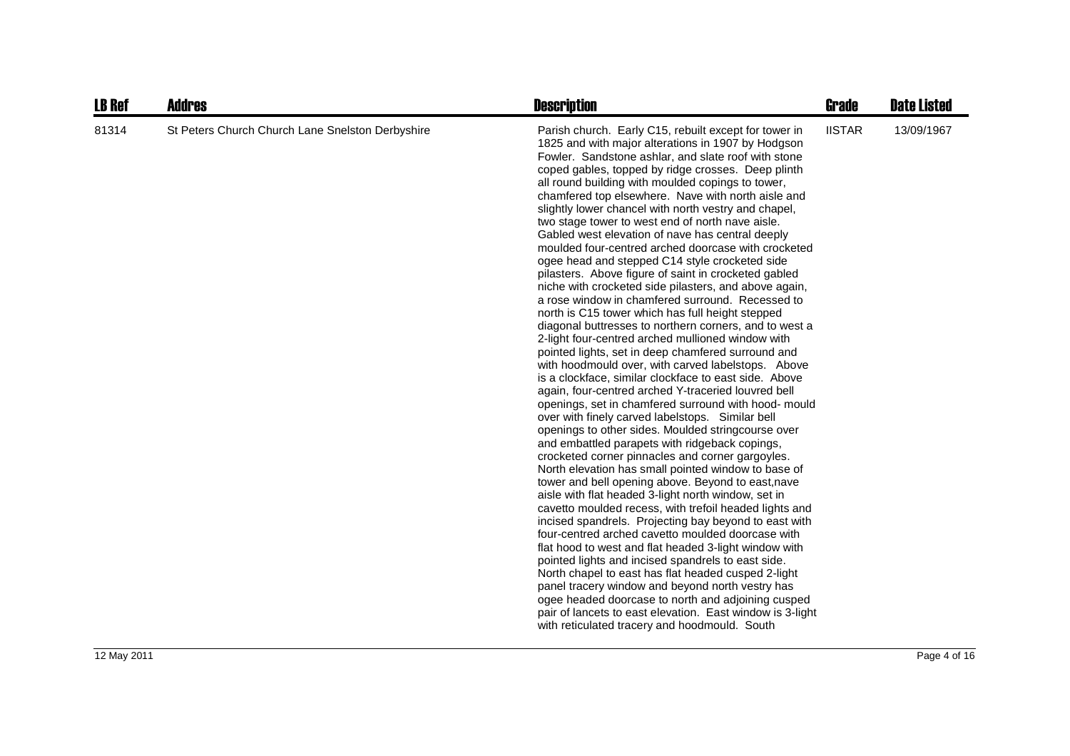| <b>LB Ref</b> | <b>Addres</b>                                    | <b>Description</b>                                                                                                                                                                                                                                                                                                                                                                                                                                                                                                                                                                                                                                                                                                                                                                                                                                                                                                                                                                                                                                                                                                                                                                                                                                                                                                                                                                                                                                                                                                                                                                                                                                                                                                                                                                                                                                                                                                                                                                                                                                                                                                                                                                                 | <b>Grade</b>  | <b>Date Listed</b> |
|---------------|--------------------------------------------------|----------------------------------------------------------------------------------------------------------------------------------------------------------------------------------------------------------------------------------------------------------------------------------------------------------------------------------------------------------------------------------------------------------------------------------------------------------------------------------------------------------------------------------------------------------------------------------------------------------------------------------------------------------------------------------------------------------------------------------------------------------------------------------------------------------------------------------------------------------------------------------------------------------------------------------------------------------------------------------------------------------------------------------------------------------------------------------------------------------------------------------------------------------------------------------------------------------------------------------------------------------------------------------------------------------------------------------------------------------------------------------------------------------------------------------------------------------------------------------------------------------------------------------------------------------------------------------------------------------------------------------------------------------------------------------------------------------------------------------------------------------------------------------------------------------------------------------------------------------------------------------------------------------------------------------------------------------------------------------------------------------------------------------------------------------------------------------------------------------------------------------------------------------------------------------------------------|---------------|--------------------|
| 81314         | St Peters Church Church Lane Snelston Derbyshire | Parish church. Early C15, rebuilt except for tower in<br>1825 and with major alterations in 1907 by Hodgson<br>Fowler. Sandstone ashlar, and slate roof with stone<br>coped gables, topped by ridge crosses. Deep plinth<br>all round building with moulded copings to tower,<br>chamfered top elsewhere. Nave with north aisle and<br>slightly lower chancel with north vestry and chapel,<br>two stage tower to west end of north nave aisle.<br>Gabled west elevation of nave has central deeply<br>moulded four-centred arched doorcase with crocketed<br>ogee head and stepped C14 style crocketed side<br>pilasters. Above figure of saint in crocketed gabled<br>niche with crocketed side pilasters, and above again,<br>a rose window in chamfered surround. Recessed to<br>north is C15 tower which has full height stepped<br>diagonal buttresses to northern corners, and to west a<br>2-light four-centred arched mullioned window with<br>pointed lights, set in deep chamfered surround and<br>with hoodmould over, with carved labelstops. Above<br>is a clockface, similar clockface to east side. Above<br>again, four-centred arched Y-traceried louvred bell<br>openings, set in chamfered surround with hood- mould<br>over with finely carved labelstops. Similar bell<br>openings to other sides. Moulded stringcourse over<br>and embattled parapets with ridgeback copings,<br>crocketed corner pinnacles and corner gargoyles.<br>North elevation has small pointed window to base of<br>tower and bell opening above. Beyond to east, nave<br>aisle with flat headed 3-light north window, set in<br>cavetto moulded recess, with trefoil headed lights and<br>incised spandrels. Projecting bay beyond to east with<br>four-centred arched cavetto moulded doorcase with<br>flat hood to west and flat headed 3-light window with<br>pointed lights and incised spandrels to east side.<br>North chapel to east has flat headed cusped 2-light<br>panel tracery window and beyond north vestry has<br>ogee headed doorcase to north and adjoining cusped<br>pair of lancets to east elevation. East window is 3-light<br>with reticulated tracery and hoodmould. South | <b>IISTAR</b> | 13/09/1967         |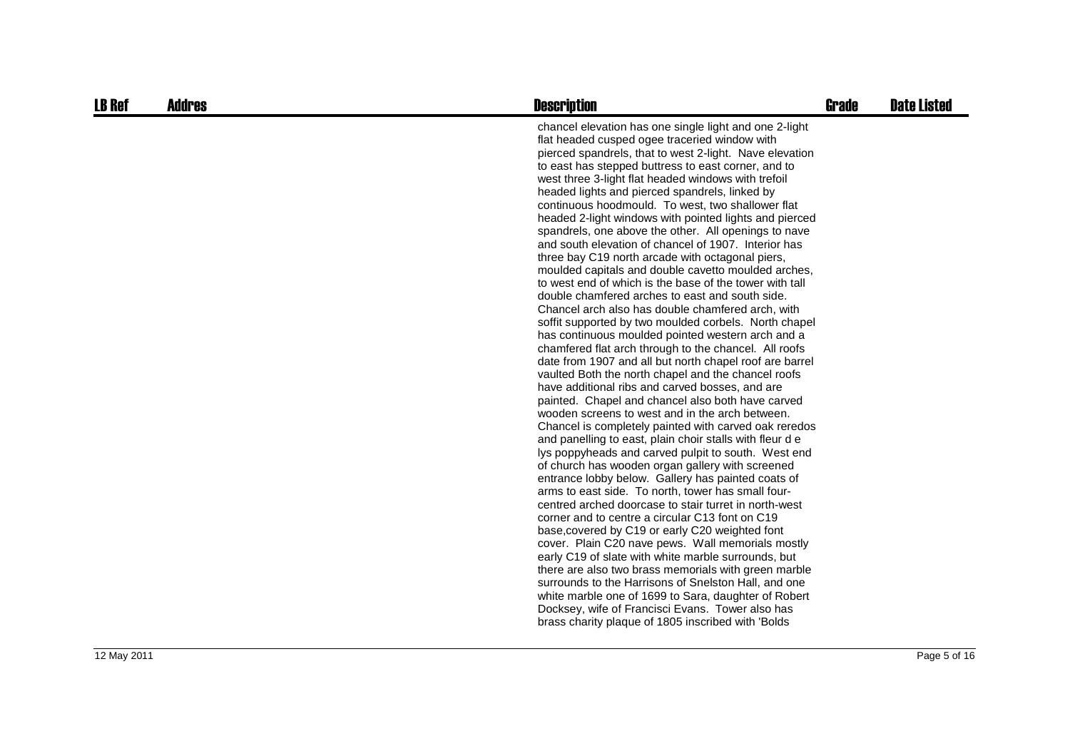| <b>LB Ref</b> | <b>Addres</b> | <b>Description</b>                                                                                                                                                                                                                                                                                                                                                                                                                                                                                                                                                                                                                                                                                                                                                                                                                                                                                                                                                                                                                                                                                                                                                                                                                                                                                                                                                                                                                                                                                                                                                                                                                                                                                                                                                                                                                                                                                                                                                                                                                                                                                                                                                                                          | <b>Grade</b> | <b>Date Listed</b> |
|---------------|---------------|-------------------------------------------------------------------------------------------------------------------------------------------------------------------------------------------------------------------------------------------------------------------------------------------------------------------------------------------------------------------------------------------------------------------------------------------------------------------------------------------------------------------------------------------------------------------------------------------------------------------------------------------------------------------------------------------------------------------------------------------------------------------------------------------------------------------------------------------------------------------------------------------------------------------------------------------------------------------------------------------------------------------------------------------------------------------------------------------------------------------------------------------------------------------------------------------------------------------------------------------------------------------------------------------------------------------------------------------------------------------------------------------------------------------------------------------------------------------------------------------------------------------------------------------------------------------------------------------------------------------------------------------------------------------------------------------------------------------------------------------------------------------------------------------------------------------------------------------------------------------------------------------------------------------------------------------------------------------------------------------------------------------------------------------------------------------------------------------------------------------------------------------------------------------------------------------------------------|--------------|--------------------|
|               |               | chancel elevation has one single light and one 2-light<br>flat headed cusped ogee traceried window with<br>pierced spandrels, that to west 2-light. Nave elevation<br>to east has stepped buttress to east corner, and to<br>west three 3-light flat headed windows with trefoil<br>headed lights and pierced spandrels, linked by<br>continuous hoodmould. To west, two shallower flat<br>headed 2-light windows with pointed lights and pierced<br>spandrels, one above the other. All openings to nave<br>and south elevation of chancel of 1907. Interior has<br>three bay C19 north arcade with octagonal piers,<br>moulded capitals and double cavetto moulded arches,<br>to west end of which is the base of the tower with tall<br>double chamfered arches to east and south side.<br>Chancel arch also has double chamfered arch, with<br>soffit supported by two moulded corbels. North chapel<br>has continuous moulded pointed western arch and a<br>chamfered flat arch through to the chancel. All roofs<br>date from 1907 and all but north chapel roof are barrel<br>vaulted Both the north chapel and the chancel roofs<br>have additional ribs and carved bosses, and are<br>painted. Chapel and chancel also both have carved<br>wooden screens to west and in the arch between.<br>Chancel is completely painted with carved oak reredos<br>and panelling to east, plain choir stalls with fleur de<br>lys poppyheads and carved pulpit to south. West end<br>of church has wooden organ gallery with screened<br>entrance lobby below. Gallery has painted coats of<br>arms to east side. To north, tower has small four-<br>centred arched doorcase to stair turret in north-west<br>corner and to centre a circular C13 font on C19<br>base, covered by C19 or early C20 weighted font<br>cover. Plain C20 nave pews. Wall memorials mostly<br>early C19 of slate with white marble surrounds, but<br>there are also two brass memorials with green marble<br>surrounds to the Harrisons of Snelston Hall, and one<br>white marble one of 1699 to Sara, daughter of Robert<br>Docksey, wife of Francisci Evans. Tower also has<br>brass charity plaque of 1805 inscribed with 'Bolds |              |                    |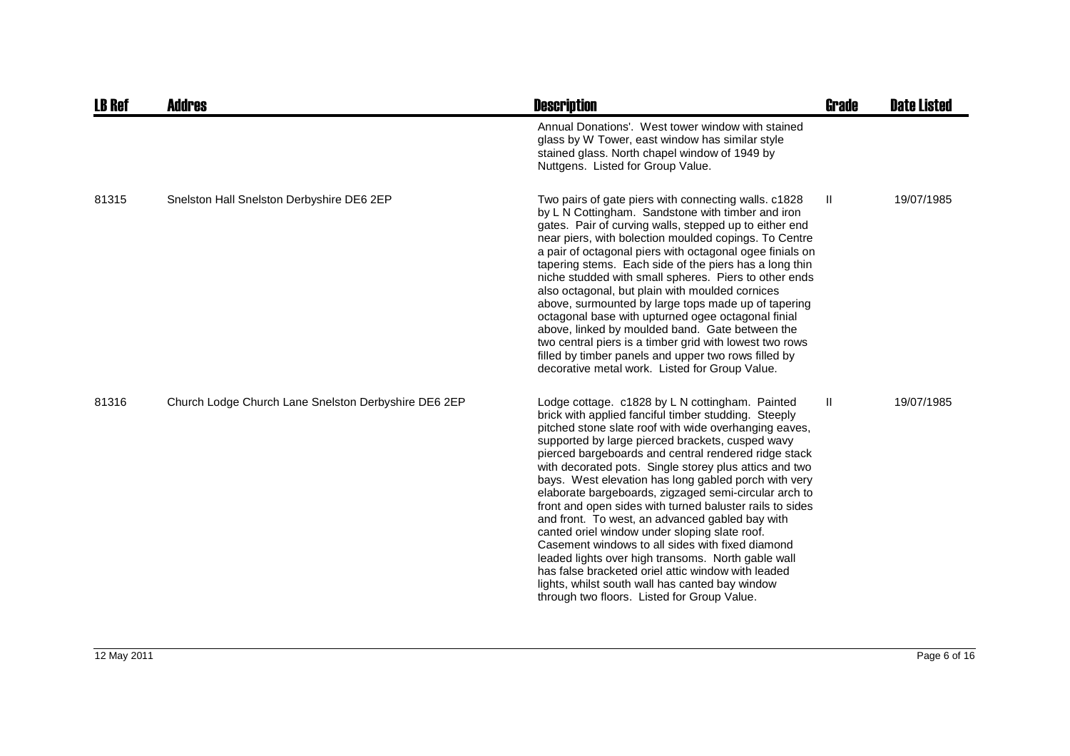| <b>LB Ref</b> | <b>Addres</b>                                        | <b>Description</b>                                                                                                                                                                                                                                                                                                                                                                                                                                                                                                                                                                                                                                                                                                                                                                                                                                                                        | Grade | <b>Date Listed</b> |
|---------------|------------------------------------------------------|-------------------------------------------------------------------------------------------------------------------------------------------------------------------------------------------------------------------------------------------------------------------------------------------------------------------------------------------------------------------------------------------------------------------------------------------------------------------------------------------------------------------------------------------------------------------------------------------------------------------------------------------------------------------------------------------------------------------------------------------------------------------------------------------------------------------------------------------------------------------------------------------|-------|--------------------|
|               |                                                      | Annual Donations'. West tower window with stained<br>glass by W Tower, east window has similar style<br>stained glass. North chapel window of 1949 by<br>Nuttgens. Listed for Group Value.                                                                                                                                                                                                                                                                                                                                                                                                                                                                                                                                                                                                                                                                                                |       |                    |
| 81315         | Snelston Hall Snelston Derbyshire DE6 2EP            | Two pairs of gate piers with connecting walls. c1828<br>by L N Cottingham. Sandstone with timber and iron<br>gates. Pair of curving walls, stepped up to either end<br>near piers, with bolection moulded copings. To Centre<br>a pair of octagonal piers with octagonal ogee finials on<br>tapering stems. Each side of the piers has a long thin<br>niche studded with small spheres. Piers to other ends<br>also octagonal, but plain with moulded cornices<br>above, surmounted by large tops made up of tapering<br>octagonal base with upturned ogee octagonal finial<br>above, linked by moulded band. Gate between the<br>two central piers is a timber grid with lowest two rows<br>filled by timber panels and upper two rows filled by<br>decorative metal work. Listed for Group Value.                                                                                       | Ш     | 19/07/1985         |
| 81316         | Church Lodge Church Lane Snelston Derbyshire DE6 2EP | Lodge cottage. c1828 by L N cottingham. Painted<br>brick with applied fanciful timber studding. Steeply<br>pitched stone slate roof with wide overhanging eaves,<br>supported by large pierced brackets, cusped wavy<br>pierced bargeboards and central rendered ridge stack<br>with decorated pots. Single storey plus attics and two<br>bays. West elevation has long gabled porch with very<br>elaborate bargeboards, zigzaged semi-circular arch to<br>front and open sides with turned baluster rails to sides<br>and front. To west, an advanced gabled bay with<br>canted oriel window under sloping slate roof.<br>Casement windows to all sides with fixed diamond<br>leaded lights over high transoms. North gable wall<br>has false bracketed oriel attic window with leaded<br>lights, whilst south wall has canted bay window<br>through two floors. Listed for Group Value. | Ш     | 19/07/1985         |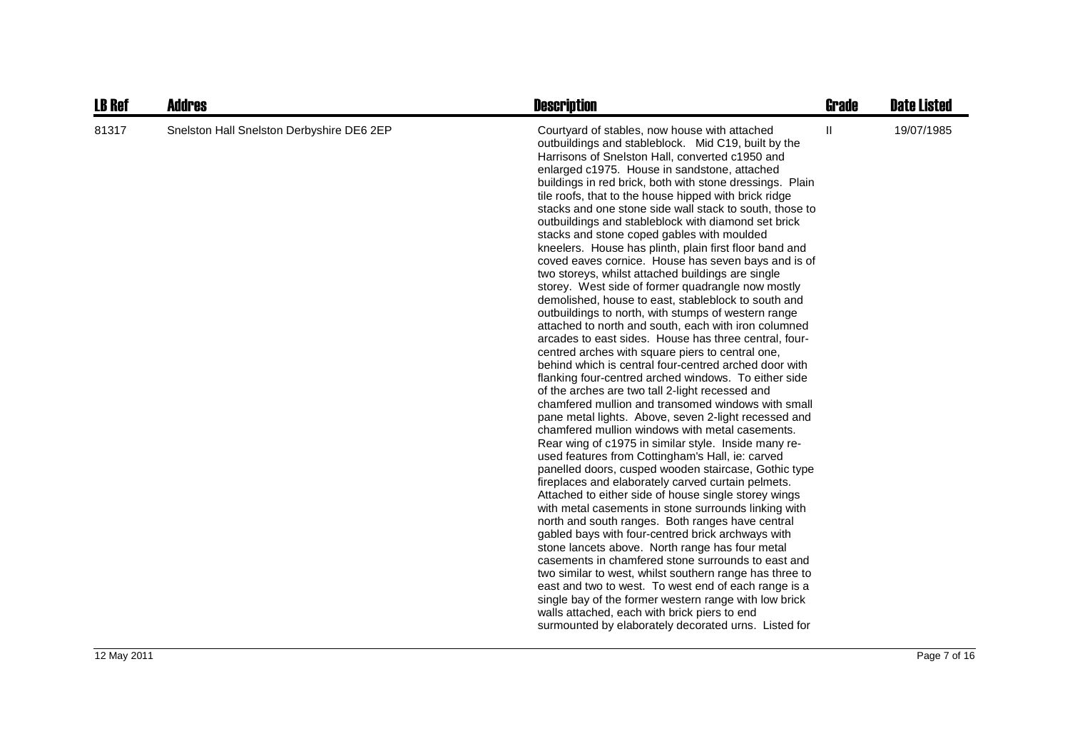| <b>LB Ref</b> | <b>Addres</b>                             | <b>Description</b>                                                                                                                                                                                                                                                                                                                                                                                                                                                                                                                                                                                                                                                                                                                                                                                                                                                                                                                                                                                                                                                                                                                                                                                                                                                                                                                                                                                                                                                                                                                                                                                                                                                                                                                                                                                                                                                                                                                                                                                                                                                                                                                                                                              | <b>Grade</b> | <b>Date Listed</b> |
|---------------|-------------------------------------------|-------------------------------------------------------------------------------------------------------------------------------------------------------------------------------------------------------------------------------------------------------------------------------------------------------------------------------------------------------------------------------------------------------------------------------------------------------------------------------------------------------------------------------------------------------------------------------------------------------------------------------------------------------------------------------------------------------------------------------------------------------------------------------------------------------------------------------------------------------------------------------------------------------------------------------------------------------------------------------------------------------------------------------------------------------------------------------------------------------------------------------------------------------------------------------------------------------------------------------------------------------------------------------------------------------------------------------------------------------------------------------------------------------------------------------------------------------------------------------------------------------------------------------------------------------------------------------------------------------------------------------------------------------------------------------------------------------------------------------------------------------------------------------------------------------------------------------------------------------------------------------------------------------------------------------------------------------------------------------------------------------------------------------------------------------------------------------------------------------------------------------------------------------------------------------------------------|--------------|--------------------|
| 81317         | Snelston Hall Snelston Derbyshire DE6 2EP | Courtyard of stables, now house with attached<br>outbuildings and stableblock. Mid C19, built by the<br>Harrisons of Snelston Hall, converted c1950 and<br>enlarged c1975. House in sandstone, attached<br>buildings in red brick, both with stone dressings. Plain<br>tile roofs, that to the house hipped with brick ridge<br>stacks and one stone side wall stack to south, those to<br>outbuildings and stableblock with diamond set brick<br>stacks and stone coped gables with moulded<br>kneelers. House has plinth, plain first floor band and<br>coved eaves cornice. House has seven bays and is of<br>two storeys, whilst attached buildings are single<br>storey. West side of former quadrangle now mostly<br>demolished, house to east, stableblock to south and<br>outbuildings to north, with stumps of western range<br>attached to north and south, each with iron columned<br>arcades to east sides. House has three central, four-<br>centred arches with square piers to central one,<br>behind which is central four-centred arched door with<br>flanking four-centred arched windows. To either side<br>of the arches are two tall 2-light recessed and<br>chamfered mullion and transomed windows with small<br>pane metal lights. Above, seven 2-light recessed and<br>chamfered mullion windows with metal casements.<br>Rear wing of c1975 in similar style. Inside many re-<br>used features from Cottingham's Hall, ie: carved<br>panelled doors, cusped wooden staircase, Gothic type<br>fireplaces and elaborately carved curtain pelmets.<br>Attached to either side of house single storey wings<br>with metal casements in stone surrounds linking with<br>north and south ranges. Both ranges have central<br>gabled bays with four-centred brick archways with<br>stone lancets above. North range has four metal<br>casements in chamfered stone surrounds to east and<br>two similar to west, whilst southern range has three to<br>east and two to west. To west end of each range is a<br>single bay of the former western range with low brick<br>walls attached, each with brick piers to end<br>surmounted by elaborately decorated urns. Listed for | $\mathbf{H}$ | 19/07/1985         |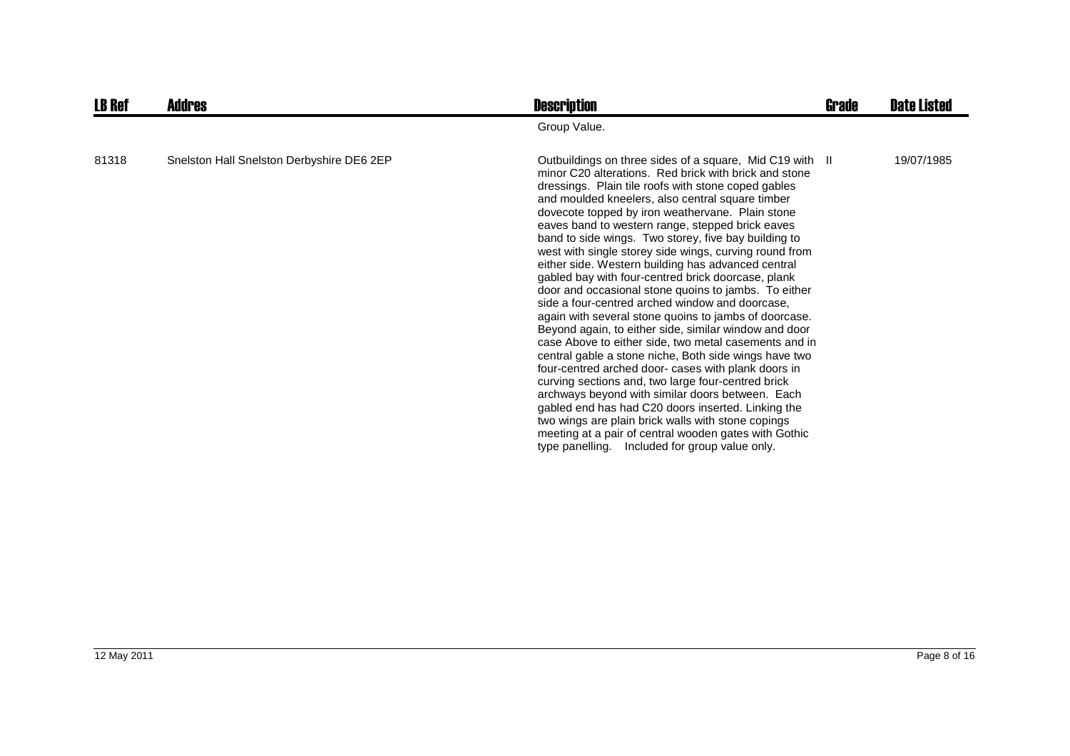| <b>LB Ref</b> | Addres                                    | <b>Description</b>                                                                                                                                                                                                                                                                                                                                                                                                                                                                                                                                                                                                                                                                                                                                                                                                                                                                                                                                                                                                                                                                                                                                                                                                                                                                                        | <b>Grade</b> | <b>Date Listed</b> |
|---------------|-------------------------------------------|-----------------------------------------------------------------------------------------------------------------------------------------------------------------------------------------------------------------------------------------------------------------------------------------------------------------------------------------------------------------------------------------------------------------------------------------------------------------------------------------------------------------------------------------------------------------------------------------------------------------------------------------------------------------------------------------------------------------------------------------------------------------------------------------------------------------------------------------------------------------------------------------------------------------------------------------------------------------------------------------------------------------------------------------------------------------------------------------------------------------------------------------------------------------------------------------------------------------------------------------------------------------------------------------------------------|--------------|--------------------|
|               |                                           | Group Value.                                                                                                                                                                                                                                                                                                                                                                                                                                                                                                                                                                                                                                                                                                                                                                                                                                                                                                                                                                                                                                                                                                                                                                                                                                                                                              |              |                    |
| 81318         | Snelston Hall Snelston Derbyshire DE6 2EP | Outbuildings on three sides of a square, Mid C19 with II<br>minor C20 alterations. Red brick with brick and stone<br>dressings. Plain tile roofs with stone coped gables<br>and moulded kneelers, also central square timber<br>dovecote topped by iron weathervane. Plain stone<br>eaves band to western range, stepped brick eaves<br>band to side wings. Two storey, five bay building to<br>west with single storey side wings, curving round from<br>either side. Western building has advanced central<br>gabled bay with four-centred brick doorcase, plank<br>door and occasional stone quoins to jambs. To either<br>side a four-centred arched window and doorcase,<br>again with several stone quoins to jambs of doorcase.<br>Beyond again, to either side, similar window and door<br>case Above to either side, two metal casements and in<br>central gable a stone niche, Both side wings have two<br>four-centred arched door- cases with plank doors in<br>curving sections and, two large four-centred brick<br>archways beyond with similar doors between. Each<br>gabled end has had C20 doors inserted. Linking the<br>two wings are plain brick walls with stone copings<br>meeting at a pair of central wooden gates with Gothic<br>type panelling. Included for group value only. |              | 19/07/1985         |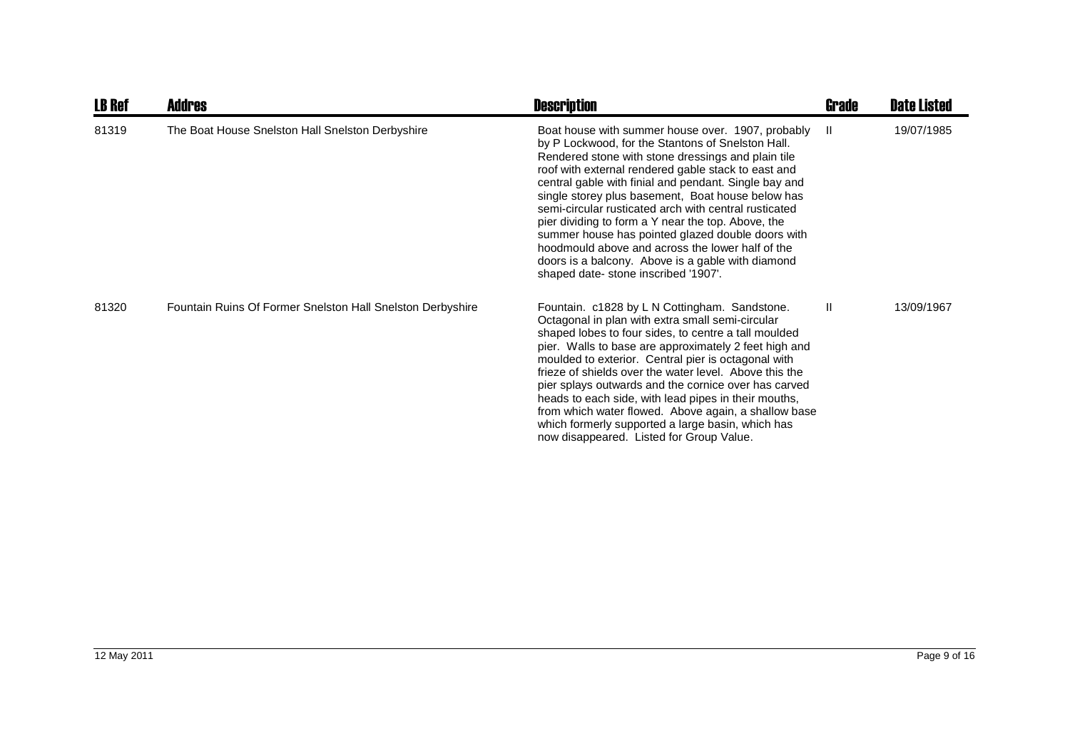| <b>LB Ref</b> | <b>Addres</b>                                              | <b>Description</b>                                                                                                                                                                                                                                                                                                                                                                                                                                                                                                                                                                                                                                    | <b>Grade</b> | <b>Date Listed</b> |
|---------------|------------------------------------------------------------|-------------------------------------------------------------------------------------------------------------------------------------------------------------------------------------------------------------------------------------------------------------------------------------------------------------------------------------------------------------------------------------------------------------------------------------------------------------------------------------------------------------------------------------------------------------------------------------------------------------------------------------------------------|--------------|--------------------|
| 81319         | The Boat House Snelston Hall Snelston Derbyshire           | Boat house with summer house over. 1907, probably<br>by P Lockwood, for the Stantons of Snelston Hall.<br>Rendered stone with stone dressings and plain tile<br>roof with external rendered gable stack to east and<br>central gable with finial and pendant. Single bay and<br>single storey plus basement, Boat house below has<br>semi-circular rusticated arch with central rusticated<br>pier dividing to form a Y near the top. Above, the<br>summer house has pointed glazed double doors with<br>hoodmould above and across the lower half of the<br>doors is a balcony. Above is a gable with diamond<br>shaped date-stone inscribed '1907'. | H.           | 19/07/1985         |
| 81320         | Fountain Ruins Of Former Snelston Hall Snelston Derbyshire | Fountain. c1828 by L N Cottingham. Sandstone.<br>Octagonal in plan with extra small semi-circular<br>shaped lobes to four sides, to centre a tall moulded<br>pier. Walls to base are approximately 2 feet high and<br>moulded to exterior. Central pier is octagonal with<br>frieze of shields over the water level. Above this the<br>pier splays outwards and the cornice over has carved<br>heads to each side, with lead pipes in their mouths,<br>from which water flowed. Above again, a shallow base<br>which formerly supported a large basin, which has<br>now disappeared. Listed for Group Value.                                          | Ш            | 13/09/1967         |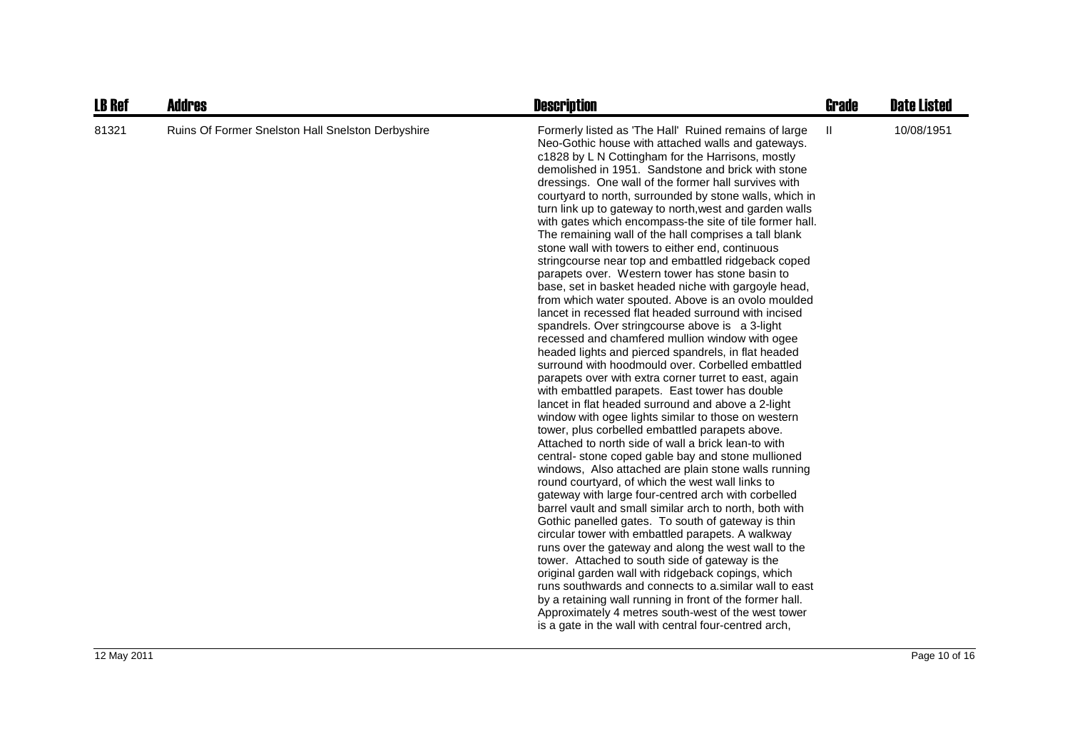| <b>LB Ref</b> | <b>Addres</b>                                     | <b>Description</b>                                                                                                                                                                                                                                                                                                                                                                                                                                                                                                                                                                                                                                                                                                                                                                                                                                                                                                                                                                                                                                                                                                                                                                                                                                                                                                                                                                                                                                                                                                                                                                                                                                                                                                                                                                                                                                                                                                                                                                                                                                                                                                                                                                                                        | <b>Grade</b> | <b>Date Listed</b> |
|---------------|---------------------------------------------------|---------------------------------------------------------------------------------------------------------------------------------------------------------------------------------------------------------------------------------------------------------------------------------------------------------------------------------------------------------------------------------------------------------------------------------------------------------------------------------------------------------------------------------------------------------------------------------------------------------------------------------------------------------------------------------------------------------------------------------------------------------------------------------------------------------------------------------------------------------------------------------------------------------------------------------------------------------------------------------------------------------------------------------------------------------------------------------------------------------------------------------------------------------------------------------------------------------------------------------------------------------------------------------------------------------------------------------------------------------------------------------------------------------------------------------------------------------------------------------------------------------------------------------------------------------------------------------------------------------------------------------------------------------------------------------------------------------------------------------------------------------------------------------------------------------------------------------------------------------------------------------------------------------------------------------------------------------------------------------------------------------------------------------------------------------------------------------------------------------------------------------------------------------------------------------------------------------------------------|--------------|--------------------|
| 81321         | Ruins Of Former Snelston Hall Snelston Derbyshire | Formerly listed as 'The Hall' Ruined remains of large<br>Neo-Gothic house with attached walls and gateways.<br>c1828 by L N Cottingham for the Harrisons, mostly<br>demolished in 1951. Sandstone and brick with stone<br>dressings. One wall of the former hall survives with<br>courtyard to north, surrounded by stone walls, which in<br>turn link up to gateway to north, west and garden walls<br>with gates which encompass-the site of tile former hall.<br>The remaining wall of the hall comprises a tall blank<br>stone wall with towers to either end, continuous<br>stringcourse near top and embattled ridgeback coped<br>parapets over. Western tower has stone basin to<br>base, set in basket headed niche with gargoyle head,<br>from which water spouted. Above is an ovolo moulded<br>lancet in recessed flat headed surround with incised<br>spandrels. Over string course above is a 3-light<br>recessed and chamfered mullion window with ogee<br>headed lights and pierced spandrels, in flat headed<br>surround with hoodmould over. Corbelled embattled<br>parapets over with extra corner turret to east, again<br>with embattled parapets. East tower has double<br>lancet in flat headed surround and above a 2-light<br>window with ogee lights similar to those on western<br>tower, plus corbelled embattled parapets above.<br>Attached to north side of wall a brick lean-to with<br>central- stone coped gable bay and stone mullioned<br>windows, Also attached are plain stone walls running<br>round courtyard, of which the west wall links to<br>gateway with large four-centred arch with corbelled<br>barrel vault and small similar arch to north, both with<br>Gothic panelled gates. To south of gateway is thin<br>circular tower with embattled parapets. A walkway<br>runs over the gateway and along the west wall to the<br>tower. Attached to south side of gateway is the<br>original garden wall with ridgeback copings, which<br>runs southwards and connects to a similar wall to east<br>by a retaining wall running in front of the former hall.<br>Approximately 4 metres south-west of the west tower<br>is a gate in the wall with central four-centred arch, | Ш            | 10/08/1951         |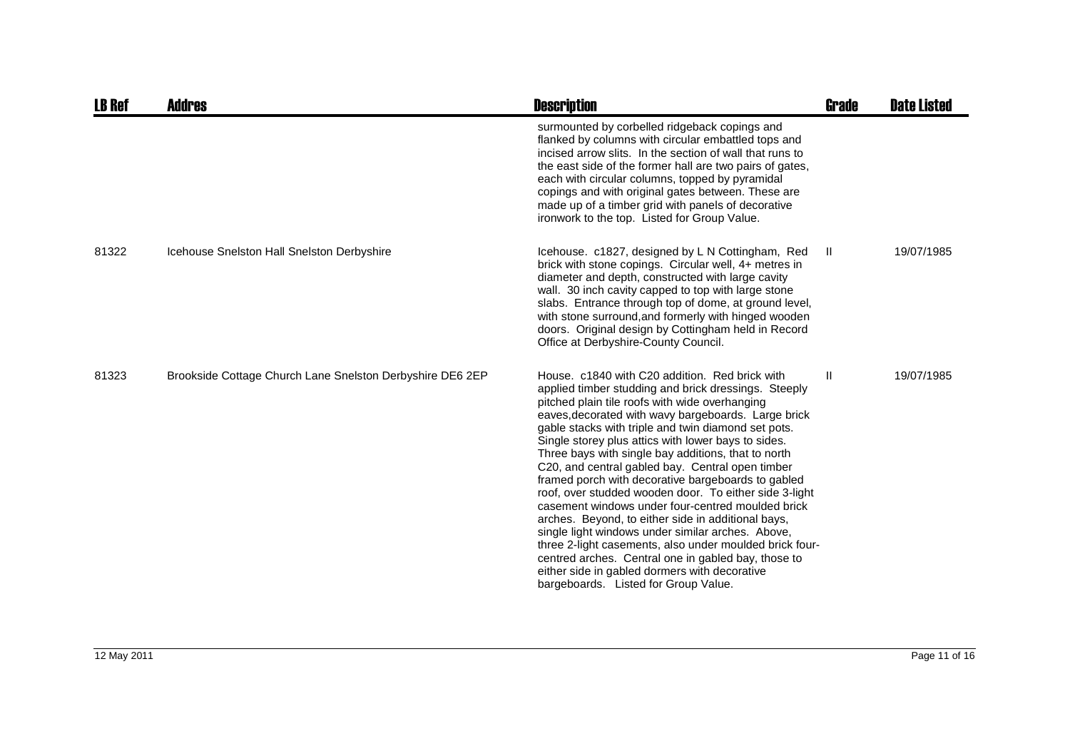| <b>LB Ref</b> | Addres                                                    | <b>Description</b>                                                                                                                                                                                                                                                                                                                                                                                                                                                                                                                                                                                                                                                                                                                                                                                                                                                                                                                  | Grade         | <b>Date Listed</b> |
|---------------|-----------------------------------------------------------|-------------------------------------------------------------------------------------------------------------------------------------------------------------------------------------------------------------------------------------------------------------------------------------------------------------------------------------------------------------------------------------------------------------------------------------------------------------------------------------------------------------------------------------------------------------------------------------------------------------------------------------------------------------------------------------------------------------------------------------------------------------------------------------------------------------------------------------------------------------------------------------------------------------------------------------|---------------|--------------------|
|               |                                                           | surmounted by corbelled ridgeback copings and<br>flanked by columns with circular embattled tops and<br>incised arrow slits. In the section of wall that runs to<br>the east side of the former hall are two pairs of gates,<br>each with circular columns, topped by pyramidal<br>copings and with original gates between. These are<br>made up of a timber grid with panels of decorative<br>ironwork to the top. Listed for Group Value.                                                                                                                                                                                                                                                                                                                                                                                                                                                                                         |               |                    |
| 81322         | Icehouse Snelston Hall Snelston Derbyshire                | Icehouse. c1827, designed by L N Cottingham, Red<br>brick with stone copings. Circular well, 4+ metres in<br>diameter and depth, constructed with large cavity<br>wall. 30 inch cavity capped to top with large stone<br>slabs. Entrance through top of dome, at ground level,<br>with stone surround, and formerly with hinged wooden<br>doors. Original design by Cottingham held in Record<br>Office at Derbyshire-County Council.                                                                                                                                                                                                                                                                                                                                                                                                                                                                                               | Ш.            | 19/07/1985         |
| 81323         | Brookside Cottage Church Lane Snelston Derbyshire DE6 2EP | House, c1840 with C20 addition. Red brick with<br>applied timber studding and brick dressings. Steeply<br>pitched plain tile roofs with wide overhanging<br>eaves, decorated with wavy bargeboards. Large brick<br>gable stacks with triple and twin diamond set pots.<br>Single storey plus attics with lower bays to sides.<br>Three bays with single bay additions, that to north<br>C20, and central gabled bay. Central open timber<br>framed porch with decorative bargeboards to gabled<br>roof, over studded wooden door. To either side 3-light<br>casement windows under four-centred moulded brick<br>arches. Beyond, to either side in additional bays,<br>single light windows under similar arches. Above,<br>three 2-light casements, also under moulded brick four-<br>centred arches. Central one in gabled bay, those to<br>either side in gabled dormers with decorative<br>bargeboards. Listed for Group Value. | $\mathbf{II}$ | 19/07/1985         |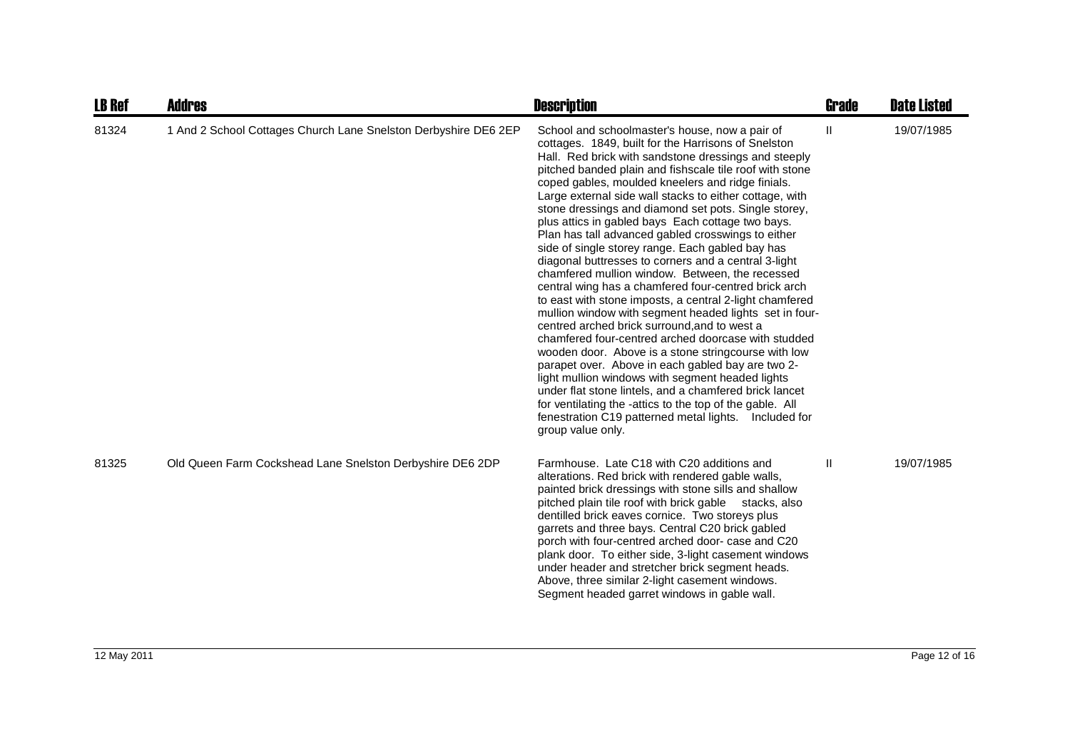| <b>LB Ref</b> | <b>Addres</b>                                                   | <b>Description</b>                                                                                                                                                                                                                                                                                                                                                                                                                                                                                                                                                                                                                                                                                                                                                                                                                                                                                                                                                                                                                                                                                                                                                                                                                                                                                                                  | Grade | <b>Date Listed</b> |
|---------------|-----------------------------------------------------------------|-------------------------------------------------------------------------------------------------------------------------------------------------------------------------------------------------------------------------------------------------------------------------------------------------------------------------------------------------------------------------------------------------------------------------------------------------------------------------------------------------------------------------------------------------------------------------------------------------------------------------------------------------------------------------------------------------------------------------------------------------------------------------------------------------------------------------------------------------------------------------------------------------------------------------------------------------------------------------------------------------------------------------------------------------------------------------------------------------------------------------------------------------------------------------------------------------------------------------------------------------------------------------------------------------------------------------------------|-------|--------------------|
| 81324         | 1 And 2 School Cottages Church Lane Snelston Derbyshire DE6 2EP | School and schoolmaster's house, now a pair of<br>cottages. 1849, built for the Harrisons of Snelston<br>Hall. Red brick with sandstone dressings and steeply<br>pitched banded plain and fishscale tile roof with stone<br>coped gables, moulded kneelers and ridge finials.<br>Large external side wall stacks to either cottage, with<br>stone dressings and diamond set pots. Single storey,<br>plus attics in gabled bays Each cottage two bays.<br>Plan has tall advanced gabled crosswings to either<br>side of single storey range. Each gabled bay has<br>diagonal buttresses to corners and a central 3-light<br>chamfered mullion window. Between, the recessed<br>central wing has a chamfered four-centred brick arch<br>to east with stone imposts, a central 2-light chamfered<br>mullion window with segment headed lights set in four-<br>centred arched brick surround, and to west a<br>chamfered four-centred arched doorcase with studded<br>wooden door. Above is a stone stringcourse with low<br>parapet over. Above in each gabled bay are two 2-<br>light mullion windows with segment headed lights<br>under flat stone lintels, and a chamfered brick lancet<br>for ventilating the -attics to the top of the gable. All<br>fenestration C19 patterned metal lights.  Included for<br>group value only. | Ш     | 19/07/1985         |
| 81325         | Old Queen Farm Cockshead Lane Snelston Derbyshire DE6 2DP       | Farmhouse. Late C18 with C20 additions and<br>alterations. Red brick with rendered gable walls,<br>painted brick dressings with stone sills and shallow<br>pitched plain tile roof with brick gable stacks, also<br>dentilled brick eaves cornice. Two storeys plus<br>garrets and three bays. Central C20 brick gabled<br>porch with four-centred arched door- case and C20<br>plank door. To either side, 3-light casement windows<br>under header and stretcher brick segment heads.<br>Above, three similar 2-light casement windows.<br>Segment headed garret windows in gable wall.                                                                                                                                                                                                                                                                                                                                                                                                                                                                                                                                                                                                                                                                                                                                           | Ш     | 19/07/1985         |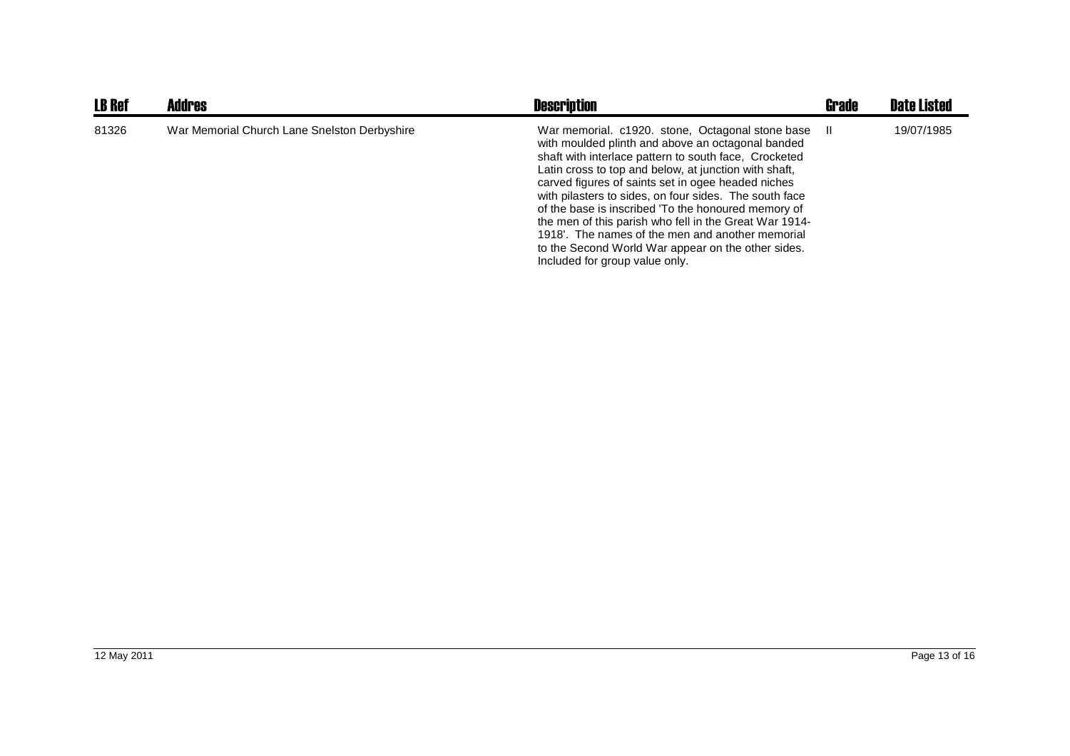| <b>LB Ref</b> | <b>Addres</b>                                | <b>Description</b>                                                                                                                                                                                                                                                                                                                                                                                                                                                                                                                                                                                   | <b>Grade</b> | <b>Date Listed</b> |
|---------------|----------------------------------------------|------------------------------------------------------------------------------------------------------------------------------------------------------------------------------------------------------------------------------------------------------------------------------------------------------------------------------------------------------------------------------------------------------------------------------------------------------------------------------------------------------------------------------------------------------------------------------------------------------|--------------|--------------------|
| 81326         | War Memorial Church Lane Snelston Derbyshire | War memorial. c1920. stone, Octagonal stone base<br>with moulded plinth and above an octagonal banded<br>shaft with interlace pattern to south face, Crocketed<br>Latin cross to top and below, at junction with shaft,<br>carved figures of saints set in ogee headed niches<br>with pilasters to sides, on four sides. The south face<br>of the base is inscribed 'To the honoured memory of<br>the men of this parish who fell in the Great War 1914-<br>1918'. The names of the men and another memorial<br>to the Second World War appear on the other sides.<br>Included for group value only. | ш            | 19/07/1985         |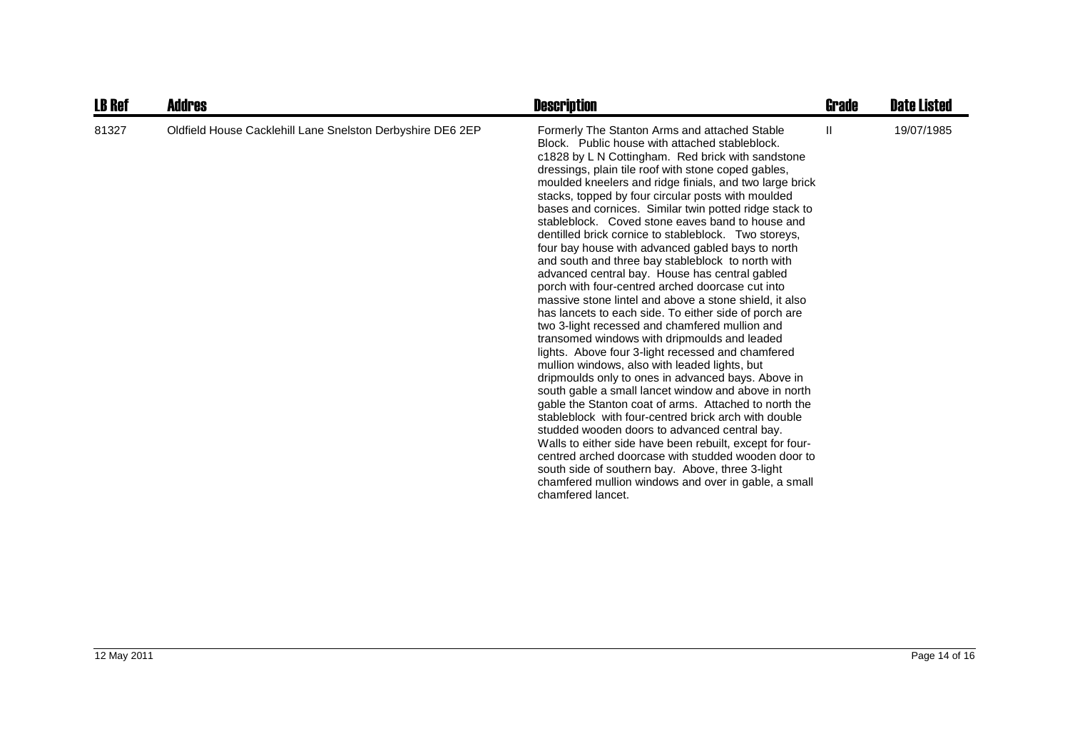| <b>LB Ref</b> | <b>Addres</b>                                              | <b>Description</b>                                                                                                                                                                                                                                                                                                                                                                                                                                                                                                                                                                                                                                                                                                                                                                                                                                                                                                                                                                                                                                                                                                                                                                                                                                                                                                                                                                                                                                                                                                                                                                | Grade | <b>Date Listed</b> |
|---------------|------------------------------------------------------------|-----------------------------------------------------------------------------------------------------------------------------------------------------------------------------------------------------------------------------------------------------------------------------------------------------------------------------------------------------------------------------------------------------------------------------------------------------------------------------------------------------------------------------------------------------------------------------------------------------------------------------------------------------------------------------------------------------------------------------------------------------------------------------------------------------------------------------------------------------------------------------------------------------------------------------------------------------------------------------------------------------------------------------------------------------------------------------------------------------------------------------------------------------------------------------------------------------------------------------------------------------------------------------------------------------------------------------------------------------------------------------------------------------------------------------------------------------------------------------------------------------------------------------------------------------------------------------------|-------|--------------------|
| 81327         | Oldfield House Cacklehill Lane Snelston Derbyshire DE6 2EP | Formerly The Stanton Arms and attached Stable<br>Block. Public house with attached stableblock.<br>c1828 by L N Cottingham. Red brick with sandstone<br>dressings, plain tile roof with stone coped gables,<br>moulded kneelers and ridge finials, and two large brick<br>stacks, topped by four circular posts with moulded<br>bases and cornices. Similar twin potted ridge stack to<br>stableblock. Coved stone eaves band to house and<br>dentilled brick cornice to stableblock. Two storeys,<br>four bay house with advanced gabled bays to north<br>and south and three bay stableblock to north with<br>advanced central bay. House has central gabled<br>porch with four-centred arched doorcase cut into<br>massive stone lintel and above a stone shield, it also<br>has lancets to each side. To either side of porch are<br>two 3-light recessed and chamfered mullion and<br>transomed windows with dripmoulds and leaded<br>lights. Above four 3-light recessed and chamfered<br>mullion windows, also with leaded lights, but<br>dripmoulds only to ones in advanced bays. Above in<br>south gable a small lancet window and above in north<br>gable the Stanton coat of arms. Attached to north the<br>stableblock with four-centred brick arch with double<br>studded wooden doors to advanced central bay.<br>Walls to either side have been rebuilt, except for four-<br>centred arched doorcase with studded wooden door to<br>south side of southern bay. Above, three 3-light<br>chamfered mullion windows and over in gable, a small<br>chamfered lancet. | Ш     | 19/07/1985         |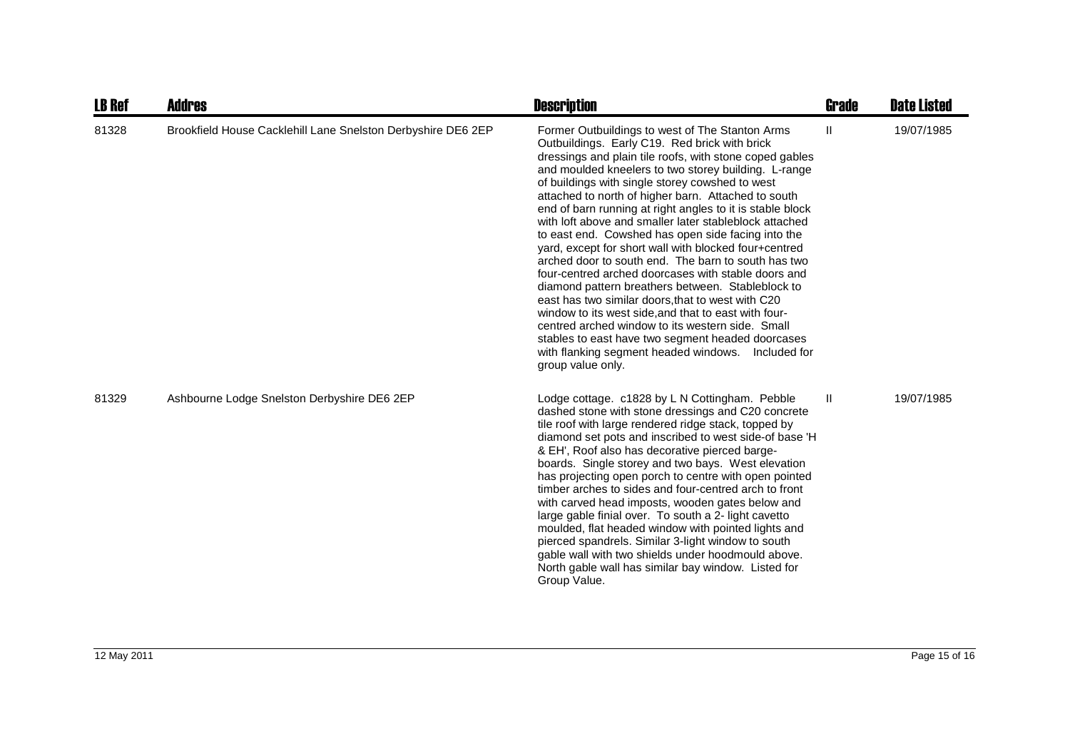| <b>LB Ref</b> | <b>Addres</b>                                                | <b>Description</b>                                                                                                                                                                                                                                                                                                                                                                                                                                                                                                                                                                                                                                                                                                                                                                                                                                                                                                                                                                                                                         | <b>Grade</b>  | <b>Date Listed</b> |
|---------------|--------------------------------------------------------------|--------------------------------------------------------------------------------------------------------------------------------------------------------------------------------------------------------------------------------------------------------------------------------------------------------------------------------------------------------------------------------------------------------------------------------------------------------------------------------------------------------------------------------------------------------------------------------------------------------------------------------------------------------------------------------------------------------------------------------------------------------------------------------------------------------------------------------------------------------------------------------------------------------------------------------------------------------------------------------------------------------------------------------------------|---------------|--------------------|
| 81328         | Brookfield House Cacklehill Lane Snelston Derbyshire DE6 2EP | Former Outbuildings to west of The Stanton Arms<br>Outbuildings. Early C19. Red brick with brick<br>dressings and plain tile roofs, with stone coped gables<br>and moulded kneelers to two storey building. L-range<br>of buildings with single storey cowshed to west<br>attached to north of higher barn. Attached to south<br>end of barn running at right angles to it is stable block<br>with loft above and smaller later stableblock attached<br>to east end. Cowshed has open side facing into the<br>yard, except for short wall with blocked four+centred<br>arched door to south end. The barn to south has two<br>four-centred arched doorcases with stable doors and<br>diamond pattern breathers between. Stableblock to<br>east has two similar doors, that to west with C20<br>window to its west side, and that to east with four-<br>centred arched window to its western side. Small<br>stables to east have two segment headed doorcases<br>with flanking segment headed windows.<br>Included for<br>group value only. | $\mathbf{II}$ | 19/07/1985         |
| 81329         | Ashbourne Lodge Snelston Derbyshire DE6 2EP                  | Lodge cottage. c1828 by L N Cottingham. Pebble<br>dashed stone with stone dressings and C20 concrete<br>tile roof with large rendered ridge stack, topped by<br>diamond set pots and inscribed to west side-of base 'H<br>& EH', Roof also has decorative pierced barge-<br>boards. Single storey and two bays. West elevation<br>has projecting open porch to centre with open pointed<br>timber arches to sides and four-centred arch to front<br>with carved head imposts, wooden gates below and<br>large gable finial over. To south a 2- light cavetto<br>moulded, flat headed window with pointed lights and<br>pierced spandrels. Similar 3-light window to south<br>gable wall with two shields under hoodmould above.<br>North gable wall has similar bay window. Listed for<br>Group Value.                                                                                                                                                                                                                                     | Ш             | 19/07/1985         |